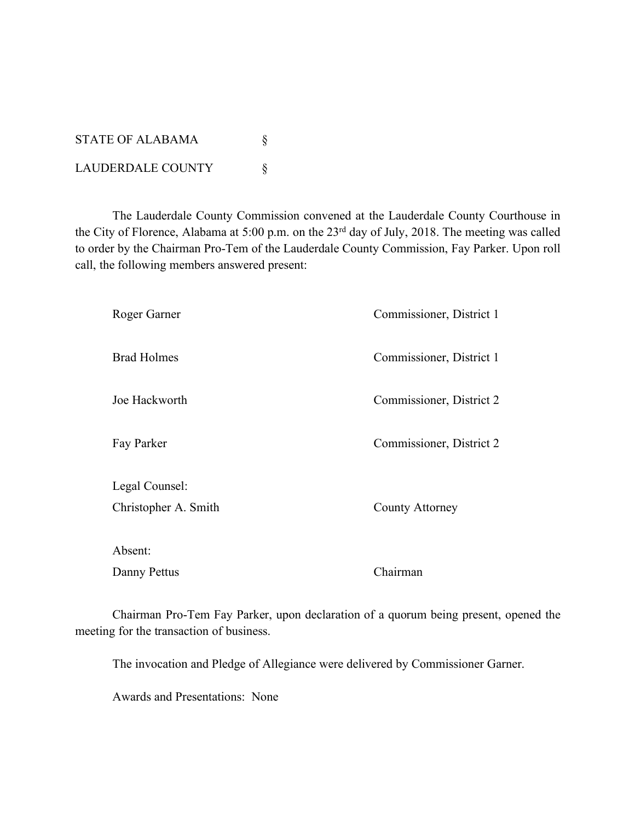STATE OF ALABAMA  $\S$ LAUDERDALE COUNTY  $\S$ 

The Lauderdale County Commission convened at the Lauderdale County Courthouse in the City of Florence, Alabama at 5:00 p.m. on the 23rd day of July, 2018. The meeting was called to order by the Chairman Pro-Tem of the Lauderdale County Commission, Fay Parker. Upon roll call, the following members answered present:

| Roger Garner         | Commissioner, District 1 |
|----------------------|--------------------------|
| <b>Brad Holmes</b>   | Commissioner, District 1 |
| Joe Hackworth        | Commissioner, District 2 |
| Fay Parker           | Commissioner, District 2 |
| Legal Counsel:       |                          |
| Christopher A. Smith | <b>County Attorney</b>   |
| Absent:              |                          |
| Danny Pettus         | Chairman                 |

Chairman Pro-Tem Fay Parker, upon declaration of a quorum being present, opened the meeting for the transaction of business.

The invocation and Pledge of Allegiance were delivered by Commissioner Garner.

Awards and Presentations: None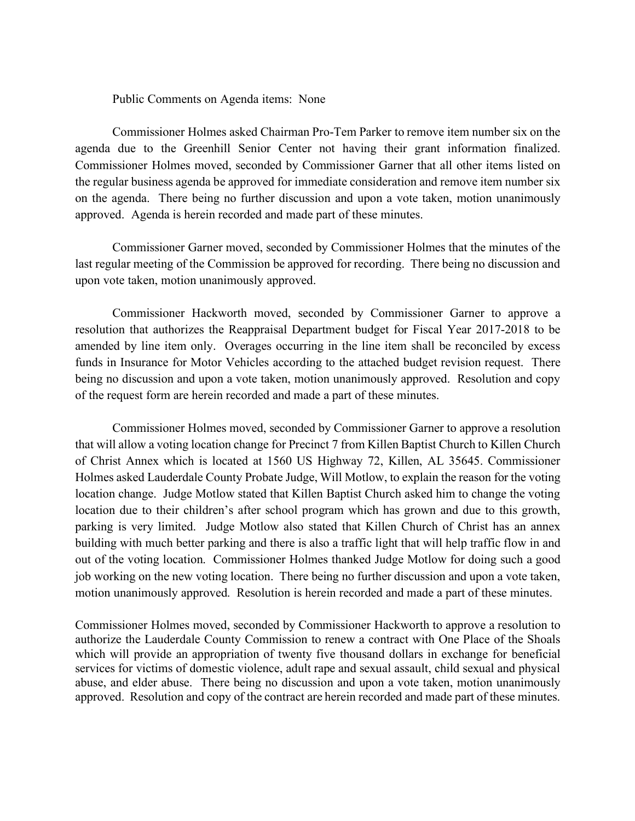Public Comments on Agenda items: None

Commissioner Holmes asked Chairman Pro-Tem Parker to remove item number six on the agenda due to the Greenhill Senior Center not having their grant information finalized. Commissioner Holmes moved, seconded by Commissioner Garner that all other items listed on the regular business agenda be approved for immediate consideration and remove item number six on the agenda. There being no further discussion and upon a vote taken, motion unanimously approved. Agenda is herein recorded and made part of these minutes.

Commissioner Garner moved, seconded by Commissioner Holmes that the minutes of the last regular meeting of the Commission be approved for recording. There being no discussion and upon vote taken, motion unanimously approved.

Commissioner Hackworth moved, seconded by Commissioner Garner to approve a resolution that authorizes the Reappraisal Department budget for Fiscal Year 2017-2018 to be amended by line item only. Overages occurring in the line item shall be reconciled by excess funds in Insurance for Motor Vehicles according to the attached budget revision request. There being no discussion and upon a vote taken, motion unanimously approved. Resolution and copy of the request form are herein recorded and made a part of these minutes.

Commissioner Holmes moved, seconded by Commissioner Garner to approve a resolution that will allow a voting location change for Precinct 7 from Killen Baptist Church to Killen Church of Christ Annex which is located at 1560 US Highway 72, Killen, AL 35645. Commissioner Holmes asked Lauderdale County Probate Judge, Will Motlow, to explain the reason for the voting location change. Judge Motlow stated that Killen Baptist Church asked him to change the voting location due to their children's after school program which has grown and due to this growth, parking is very limited. Judge Motlow also stated that Killen Church of Christ has an annex building with much better parking and there is also a traffic light that will help traffic flow in and out of the voting location. Commissioner Holmes thanked Judge Motlow for doing such a good job working on the new voting location. There being no further discussion and upon a vote taken, motion unanimously approved. Resolution is herein recorded and made a part of these minutes.

Commissioner Holmes moved, seconded by Commissioner Hackworth to approve a resolution to authorize the Lauderdale County Commission to renew a contract with One Place of the Shoals which will provide an appropriation of twenty five thousand dollars in exchange for beneficial services for victims of domestic violence, adult rape and sexual assault, child sexual and physical abuse, and elder abuse. There being no discussion and upon a vote taken, motion unanimously approved. Resolution and copy of the contract are herein recorded and made part of these minutes.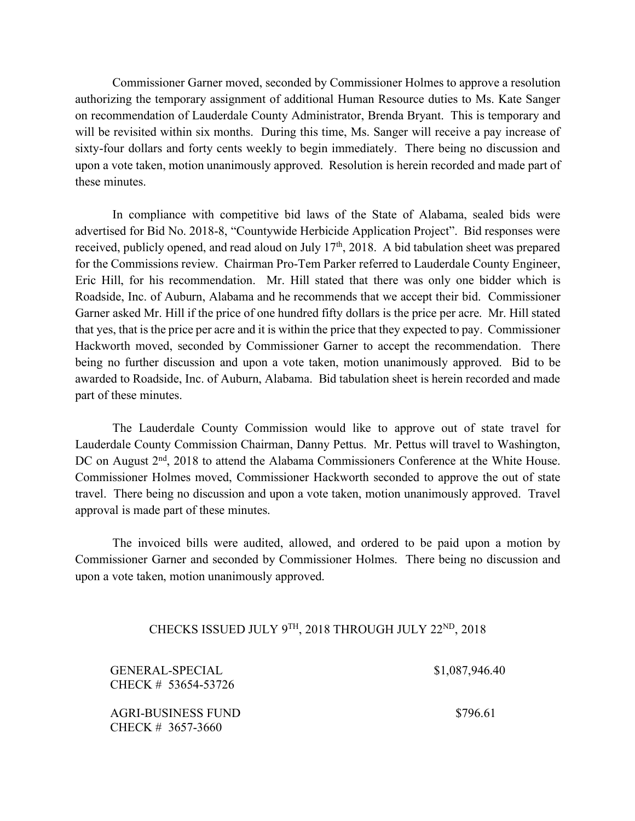Commissioner Garner moved, seconded by Commissioner Holmes to approve a resolution authorizing the temporary assignment of additional Human Resource duties to Ms. Kate Sanger on recommendation of Lauderdale County Administrator, Brenda Bryant. This is temporary and will be revisited within six months. During this time, Ms. Sanger will receive a pay increase of sixty-four dollars and forty cents weekly to begin immediately. There being no discussion and upon a vote taken, motion unanimously approved. Resolution is herein recorded and made part of these minutes.

In compliance with competitive bid laws of the State of Alabama, sealed bids were advertised for Bid No. 2018-8, "Countywide Herbicide Application Project". Bid responses were received, publicly opened, and read aloud on July 17<sup>th</sup>, 2018. A bid tabulation sheet was prepared for the Commissions review. Chairman Pro-Tem Parker referred to Lauderdale County Engineer, Eric Hill, for his recommendation. Mr. Hill stated that there was only one bidder which is Roadside, Inc. of Auburn, Alabama and he recommends that we accept their bid. Commissioner Garner asked Mr. Hill if the price of one hundred fifty dollars is the price per acre. Mr. Hill stated that yes, that is the price per acre and it is within the price that they expected to pay. Commissioner Hackworth moved, seconded by Commissioner Garner to accept the recommendation. There being no further discussion and upon a vote taken, motion unanimously approved. Bid to be awarded to Roadside, Inc. of Auburn, Alabama. Bid tabulation sheet is herein recorded and made part of these minutes.

The Lauderdale County Commission would like to approve out of state travel for Lauderdale County Commission Chairman, Danny Pettus. Mr. Pettus will travel to Washington, DC on August 2<sup>nd</sup>, 2018 to attend the Alabama Commissioners Conference at the White House. Commissioner Holmes moved, Commissioner Hackworth seconded to approve the out of state travel. There being no discussion and upon a vote taken, motion unanimously approved. Travel approval is made part of these minutes.

The invoiced bills were audited, allowed, and ordered to be paid upon a motion by Commissioner Garner and seconded by Commissioner Holmes. There being no discussion and upon a vote taken, motion unanimously approved.

## CHECKS ISSUED JULY 9TH, 2018 THROUGH JULY 22ND, 2018

GENERAL-SPECIAL CHECK # 53654-53726

AGRI-BUSINESS FUND CHECK # 3657-3660

\$1,087,946.40

\$796.61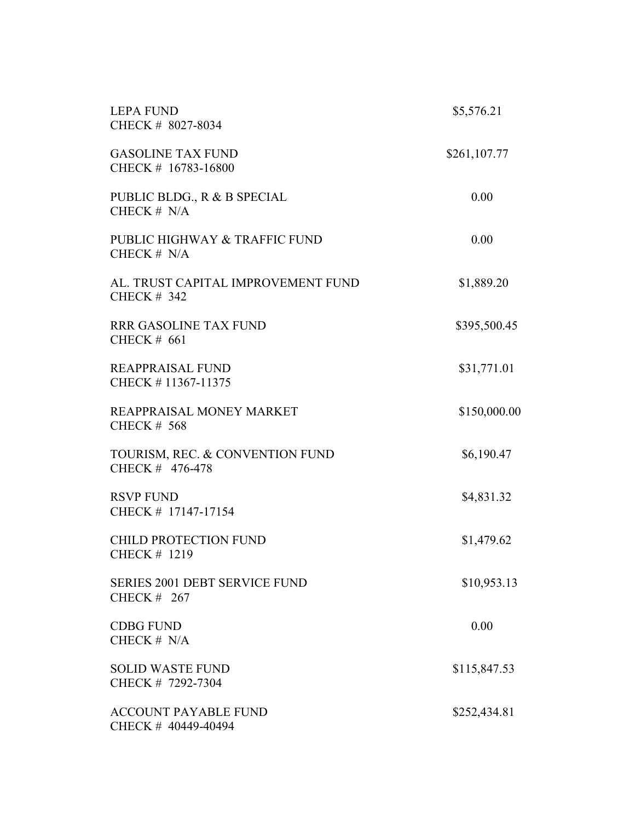| <b>LEPA FUND</b><br>CHECK # 8027-8034                      | \$5,576.21   |  |
|------------------------------------------------------------|--------------|--|
| <b>GASOLINE TAX FUND</b><br>CHECK # 16783-16800            | \$261,107.77 |  |
| PUBLIC BLDG., R & B SPECIAL<br>CHECK $# N/A$               | 0.00         |  |
| PUBLIC HIGHWAY & TRAFFIC FUND<br>CHECK # N/A               | 0.00         |  |
| AL. TRUST CAPITAL IMPROVEMENT FUND<br><b>CHECK # 342</b>   | \$1,889.20   |  |
| <b>RRR GASOLINE TAX FUND</b><br><b>CHECK # 661</b>         | \$395,500.45 |  |
| REAPPRAISAL FUND<br>CHECK #11367-11375                     | \$31,771.01  |  |
| REAPPRAISAL MONEY MARKET<br><b>CHECK # 568</b>             | \$150,000.00 |  |
| TOURISM, REC. & CONVENTION FUND<br>CHECK # 476-478         | \$6,190.47   |  |
| <b>RSVP FUND</b><br>CHECK # 17147-17154                    | \$4,831.32   |  |
| <b>CHILD PROTECTION FUND</b><br>CHECK # 1219               | \$1,479.62   |  |
| <b>SERIES 2001 DEBT SERVICE FUND</b><br><b>CHECK # 267</b> | \$10,953.13  |  |
| <b>CDBG FUND</b><br>CHECK $# N/A$                          | 0.00         |  |
| <b>SOLID WASTE FUND</b><br>CHECK # 7292-7304               | \$115,847.53 |  |
| <b>ACCOUNT PAYABLE FUND</b><br>CHECK # 40449-40494         | \$252,434.81 |  |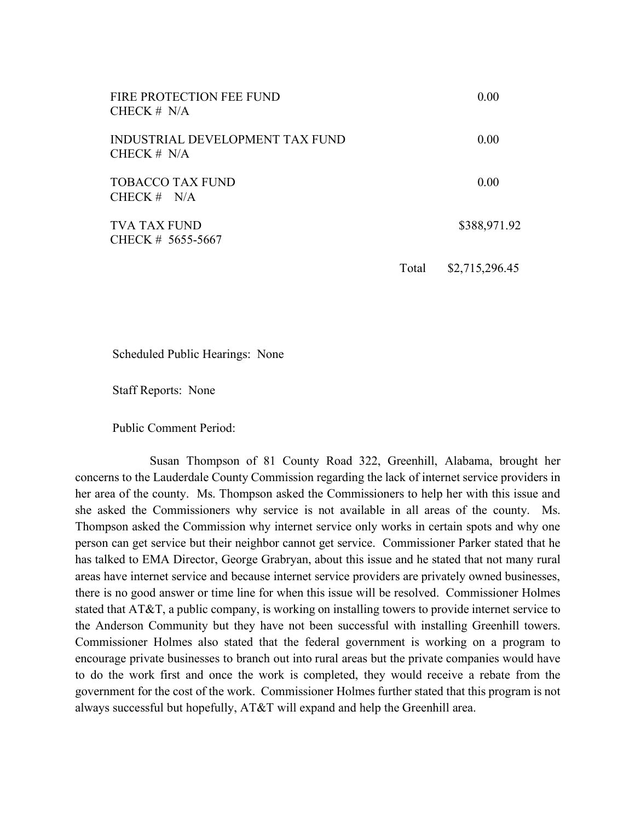| FIRE PROTECTION FEE FUND<br>CHECK $# N/A$        |       | 0.00           |
|--------------------------------------------------|-------|----------------|
| INDUSTRIAL DEVELOPMENT TAX FUND<br>CHECK $# N/A$ |       | 0.00           |
| <b>TOBACCO TAX FUND</b><br>CHECK $# N/A$         |       | 0.00           |
| <b>TVA TAX FUND</b><br>CHECK # 5655-5667         |       | \$388,971.92   |
|                                                  | Total | \$2,715,296.45 |

Scheduled Public Hearings: None

Staff Reports: None

Public Comment Period:

Susan Thompson of 81 County Road 322, Greenhill, Alabama, brought her concerns to the Lauderdale County Commission regarding the lack of internet service providers in her area of the county. Ms. Thompson asked the Commissioners to help her with this issue and she asked the Commissioners why service is not available in all areas of the county. Ms. Thompson asked the Commission why internet service only works in certain spots and why one person can get service but their neighbor cannot get service. Commissioner Parker stated that he has talked to EMA Director, George Grabryan, about this issue and he stated that not many rural areas have internet service and because internet service providers are privately owned businesses, there is no good answer or time line for when this issue will be resolved. Commissioner Holmes stated that AT&T, a public company, is working on installing towers to provide internet service to the Anderson Community but they have not been successful with installing Greenhill towers. Commissioner Holmes also stated that the federal government is working on a program to encourage private businesses to branch out into rural areas but the private companies would have to do the work first and once the work is completed, they would receive a rebate from the government for the cost of the work. Commissioner Holmes further stated that this program is not always successful but hopefully, AT&T will expand and help the Greenhill area.